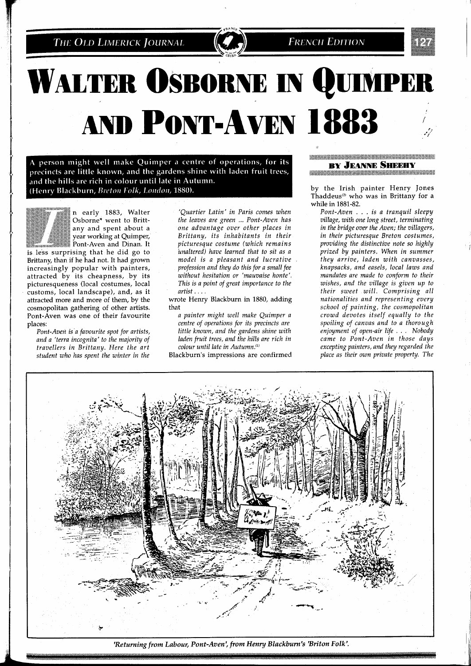THE OLD LIMERICK JOURNAL

**FRENCH EDITION** 

## **WALTER OSBORNE IN QUIMPER AND PONT-AVEN 1883**

A person might well make Quimper a centre of operations, for its precincts are little known, and the gardens shine with laden fruit trees, and the hills are rich in colour until late in Autumn. (Henry Blackburn, Breton Folk, London, 1880).



n early 1883, Walter Osborne\* went to Brittany and spent about a year working at Quimper, Pont-Aven and Dinan. It

is less surprising that he did go to Brittany, than if he had not. It had grown increasingly popular with painters, attracted by its cheapness, by its picturesqueness (local costumes, local customs, local landscape), and, as it attracted more and more of them, by the cosmopolitan gathering of other artists. Pont-Aven was one of their favourite places:

*Pont-Aven is'a favourite spot for artists, and a 'terra incognita' to the majority of travellers in Brittany. Here the art student who has spent the winter in the* 

*'Quartier Latin' in Paris comes when the leaves are green* ... *Pont-Aven has one advantage over other places in Brittany, its inhabitants in their picturesque costume (which remains unaltered) have learned that to sit as a model is a pleasant and lucrative profession and they do this for a small fee without hesitation or 'mauvaise honte'. This is a point of great importance to the artist.* . . .

wrote Henry Blackburn in 1880, adding that

*a painter might well make Quimper a centre of operations for its precincts are little known, and the gardens shine with laden fruit trees, and the hills are rich in colour until late in Autumn.*<sup>(1)</sup>

Blackburn's impressions are confirmed

## **BY JEANNE SHEEHY** <u>TERRITORIA DE ALTITULITA DE LA CONTENTA DE LA CONTENTA DE LA CONTENTA DE LA CONTENTA DE LA CONTENTA DE LA CON</u>

by the Irish painter Henry Jones Thaddeus<sup>(2)</sup> who was in Brittany for a while in 1881-82.

*Pont-Aven* . . . *is a tranquil sleepy village, with one long street, terminating in the bridge over the Aven; the villagers,*   $in$  their picturesque Breton costumes, *providing the distinctive note so highly prized by painters. When in summer they arrive, laden with canvasses, knapsacks, and easels, local laws and mandates are made to conform to their wishes, and the village is given up to their sweet will. Comprising all nationalities and representing every school of painting, the cosmopolitan crowd devotes itself equally to the spoiling of canvas and to a thorough enjoyment of open-air life* . . . *Nobody came to Pont-Aven in those days excepting painters, and they regarded the place as their own private property. The* 



*'Returning from Labour, Pont-Aven', from Henry Blackburn's 'Briton Folk'.*